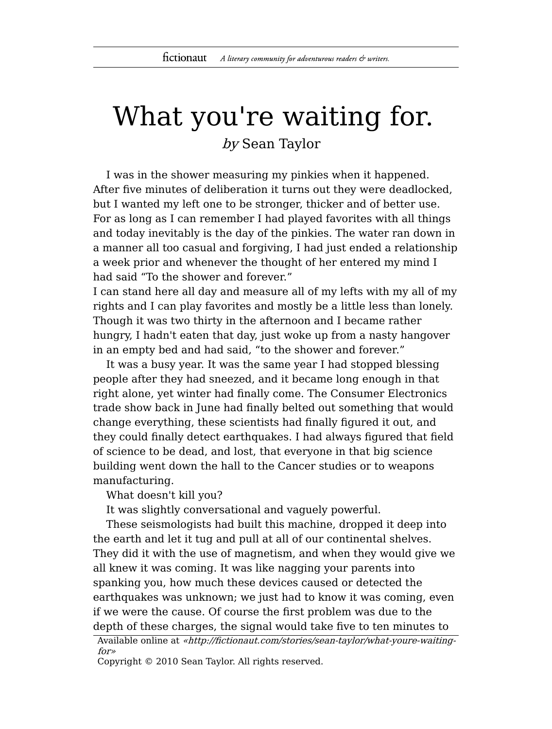## What you're waiting for.

by Sean Taylor

I was in the shower measuring my pinkies when it happened. After five minutes of deliberation it turns out they were deadlocked, but I wanted my left one to be stronger, thicker and of better use. For as long as I can remember I had played favorites with all things and today inevitably is the day of the pinkies. The water ran down in a manner all too casual and forgiving, I had just ended a relationship a week prior and whenever the thought of her entered my mind I had said "To the shower and forever."

I can stand here all day and measure all of my lefts with my all of my rights and I can play favorites and mostly be a little less than lonely. Though it was two thirty in the afternoon and I became rather hungry, I hadn't eaten that day, just woke up from a nasty hangover in an empty bed and had said, "to the shower and forever."

It was a busy year. It was the same year I had stopped blessing people after they had sneezed, and it became long enough in that right alone, yet winter had finally come. The Consumer Electronics trade show back in June had finally belted out something that would change everything, these scientists had finally figured it out, and they could finally detect earthquakes. I had always figured that field of science to be dead, and lost, that everyone in that big science building went down the hall to the Cancer studies or to weapons manufacturing.

What doesn't kill you?

It was slightly conversational and vaguely powerful.

These seismologists had built this machine, dropped it deep into the earth and let it tug and pull at all of our continental shelves. They did it with the use of magnetism, and when they would give we all knew it was coming. It was like nagging your parents into spanking you, how much these devices caused or detected the earthquakes was unknown; we just had to know it was coming, even if we were the cause. Of course the first problem was due to the depth of these charges, the signal would take five to ten minutes to

Copyright © 2010 Sean Taylor. All rights reserved.

Available online at «http://fictionaut.com/stories/sean-taylor/what-youre-waitingfor»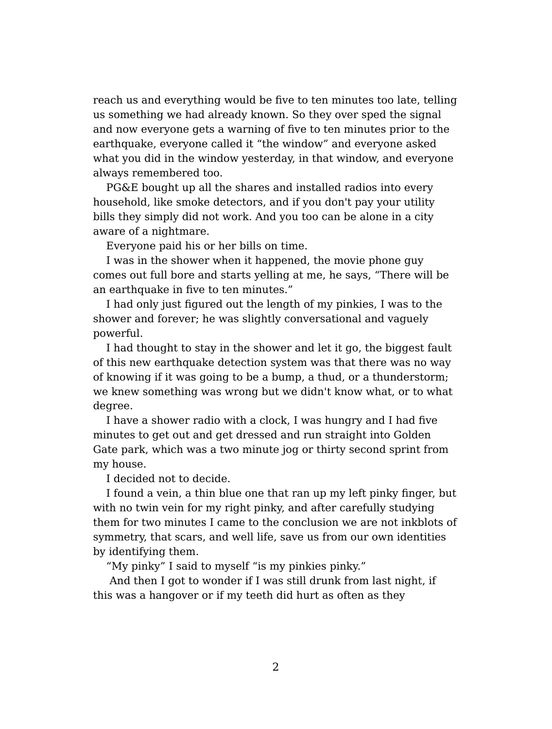reach us and everything would be five to ten minutes too late, telling us something we had already known. So they over sped the signal and now everyone gets a warning of five to ten minutes prior to the earthquake, everyone called it "the window" and everyone asked what you did in the window yesterday, in that window, and everyone always remembered too.

PG&E bought up all the shares and installed radios into every household, like smoke detectors, and if you don't pay your utility bills they simply did not work. And you too can be alone in a city aware of a nightmare.

Everyone paid his or her bills on time.

I was in the shower when it happened, the movie phone guy comes out full bore and starts yelling at me, he says, "There will be an earthquake in five to ten minutes."

I had only just figured out the length of my pinkies, I was to the shower and forever; he was slightly conversational and vaguely powerful.

I had thought to stay in the shower and let it go, the biggest fault of this new earthquake detection system was that there was no way of knowing if it was going to be a bump, a thud, or a thunderstorm; we knew something was wrong but we didn't know what, or to what degree.

I have a shower radio with a clock, I was hungry and I had five minutes to get out and get dressed and run straight into Golden Gate park, which was a two minute jog or thirty second sprint from my house.

I decided not to decide.

I found a vein, a thin blue one that ran up my left pinky finger, but with no twin vein for my right pinky, and after carefully studying them for two minutes I came to the conclusion we are not inkblots of symmetry, that scars, and well life, save us from our own identities by identifying them.

"My pinky" I said to myself "is my pinkies pinky."

And then I got to wonder if I was still drunk from last night, if this was a hangover or if my teeth did hurt as often as they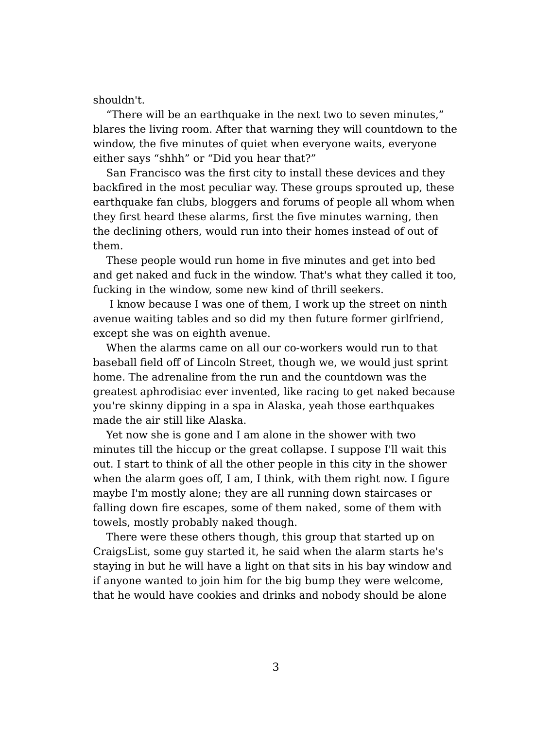shouldn't.

"There will be an earthquake in the next two to seven minutes," blares the living room. After that warning they will countdown to the window, the five minutes of quiet when everyone waits, everyone either says "shhh" or "Did you hear that?"

San Francisco was the first city to install these devices and they backfired in the most peculiar way. These groups sprouted up, these earthquake fan clubs, bloggers and forums of people all whom when they first heard these alarms, first the five minutes warning, then the declining others, would run into their homes instead of out of them.

These people would run home in five minutes and get into bed and get naked and fuck in the window. That's what they called it too, fucking in the window, some new kind of thrill seekers.

I know because I was one of them, I work up the street on ninth avenue waiting tables and so did my then future former girlfriend, except she was on eighth avenue.

When the alarms came on all our co-workers would run to that baseball field off of Lincoln Street, though we, we would just sprint home. The adrenaline from the run and the countdown was the greatest aphrodisiac ever invented, like racing to get naked because you're skinny dipping in a spa in Alaska, yeah those earthquakes made the air still like Alaska.

Yet now she is gone and I am alone in the shower with two minutes till the hiccup or the great collapse. I suppose I'll wait this out. I start to think of all the other people in this city in the shower when the alarm goes off, I am, I think, with them right now. I figure maybe I'm mostly alone; they are all running down staircases or falling down fire escapes, some of them naked, some of them with towels, mostly probably naked though.

There were these others though, this group that started up on CraigsList, some guy started it, he said when the alarm starts he's staying in but he will have a light on that sits in his bay window and if anyone wanted to join him for the big bump they were welcome, that he would have cookies and drinks and nobody should be alone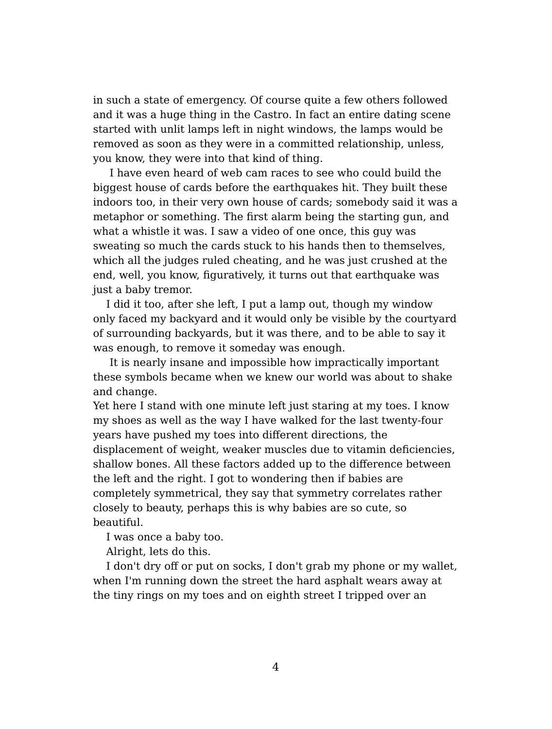in such a state of emergency. Of course quite a few others followed and it was a huge thing in the Castro. In fact an entire dating scene started with unlit lamps left in night windows, the lamps would be removed as soon as they were in a committed relationship, unless, you know, they were into that kind of thing.

I have even heard of web cam races to see who could build the biggest house of cards before the earthquakes hit. They built these indoors too, in their very own house of cards; somebody said it was a metaphor or something. The first alarm being the starting gun, and what a whistle it was. I saw a video of one once, this guy was sweating so much the cards stuck to his hands then to themselves, which all the judges ruled cheating, and he was just crushed at the end, well, you know, figuratively, it turns out that earthquake was just a baby tremor.

I did it too, after she left, I put a lamp out, though my window only faced my backyard and it would only be visible by the courtyard of surrounding backyards, but it was there, and to be able to say it was enough, to remove it someday was enough.

It is nearly insane and impossible how impractically important these symbols became when we knew our world was about to shake and change.

Yet here I stand with one minute left just staring at my toes. I know my shoes as well as the way I have walked for the last twenty-four years have pushed my toes into different directions, the displacement of weight, weaker muscles due to vitamin deficiencies, shallow bones. All these factors added up to the difference between the left and the right. I got to wondering then if babies are completely symmetrical, they say that symmetry correlates rather closely to beauty, perhaps this is why babies are so cute, so beautiful.

I was once a baby too.

Alright, lets do this.

I don't dry off or put on socks, I don't grab my phone or my wallet, when I'm running down the street the hard asphalt wears away at the tiny rings on my toes and on eighth street I tripped over an